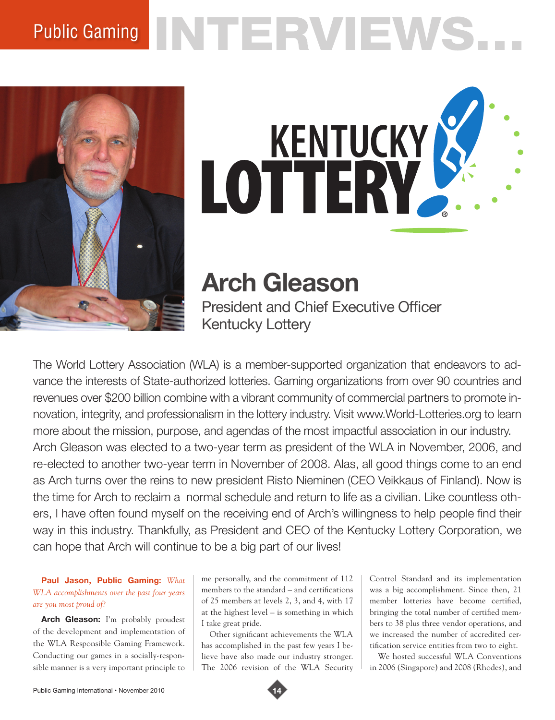# Public Gaming NTERVIEWS.





**Arch Gleason**

President and Chief Executive Officer Kentucky Lottery

The World Lottery Association (WLA) is a member-supported organization that endeavors to advance the interests of State-authorized lotteries. Gaming organizations from over 90 countries and revenues over \$200 billion combine with a vibrant community of commercial partners to promote innovation, integrity, and professionalism in the lottery industry. Visit www.World-Lotteries.org to learn more about the mission, purpose, and agendas of the most impactful association in our industry. Arch Gleason was elected to a two-year term as president of the WLA in November, 2006, and re-elected to another two-year term in November of 2008. Alas, all good things come to an end as Arch turns over the reins to new president Risto Nieminen (CEO Veikkaus of Finland). Now is the time for Arch to reclaim a normal schedule and return to life as a civilian. Like countless others, I have often found myself on the receiving end of Arch's willingness to help people find their way in this industry. Thankfully, as President and CEO of the Kentucky Lottery Corporation, we can hope that Arch will continue to be a big part of our lives!

# **Paul Jason, Public Gaming:** *What WLA accomplishments over the past four years are you most proud of?*

Arch Gleason: I'm probably proudest of the development and implementation of the WLA Responsible Gaming Framework. Conducting our games in a socially-responsible manner is a very important principle to

me personally, and the commitment of 112 members to the standard – and certifications of 25 members at levels 2, 3, and 4, with 17 at the highest level – is something in which I take great pride.

Other significant achievements the WLA has accomplished in the past few years I believe have also made our industry stronger. The 2006 revision of the WLA Security

Control Standard and its implementation was a big accomplishment. Since then, 21 member lotteries have become certified, bringing the total number of certified members to 38 plus three vendor operations, and we increased the number of accredited certification service entities from two to eight.

We hosted successful WLA Conventions in 2006 (Singapore) and 2008 (Rhodes), and